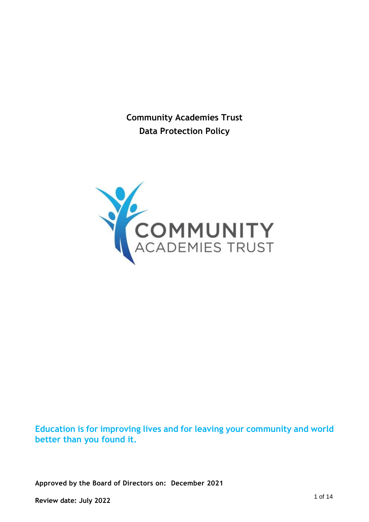**Community Academies Trust Data Protection Policy**



**Education is for improving lives and for leaving your community and world better than you found it.**

**Approved by the Board of Directors on: December 2021**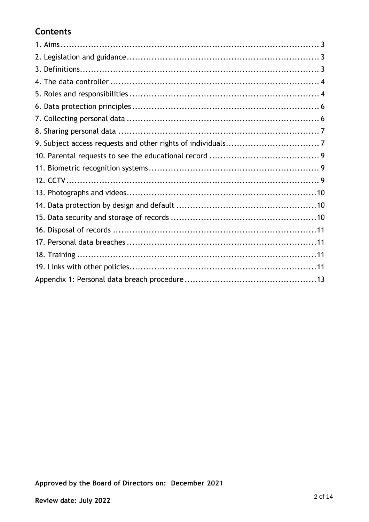# **Contents**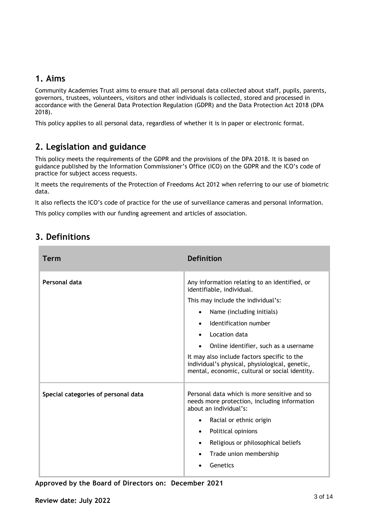### **1. Aims**

Community Academies Trust aims to ensure that all personal data collected about staff, pupils, parents, governors, trustees, volunteers, visitors and other individuals is collected, stored and processed in accordance with the General Data Protection Regulation (GDPR) and the Data Protection Act 2018 (DPA 2018).

This policy applies to all personal data, regardless of whether it is in paper or electronic format.

# **2. Legislation and guidance**

This policy meets the requirements of the GDPR and the provisions of the DPA 2018. It is based on guidance published by the Information Commissioner's Office (ICO) on the GDPR and the ICO's code of practice for subject access requests.

It meets the requirements of the Protection of Freedoms Act 2012 when referring to our use of biometric data.

It also reflects the ICO's code of practice for the use of surveillance cameras and personal information.

This policy complies with our funding agreement and articles of association.

| <b>Term</b>                         | <b>Definition</b>                                                                                                                                                                                                                                                                                                                                                                   |
|-------------------------------------|-------------------------------------------------------------------------------------------------------------------------------------------------------------------------------------------------------------------------------------------------------------------------------------------------------------------------------------------------------------------------------------|
| Personal data                       | Any information relating to an identified, or<br>identifiable, individual.<br>This may include the individual's:<br>Name (including initials)<br>Identification number<br>Location data<br>Online identifier, such as a username<br>It may also include factors specific to the<br>individual's physical, physiological, genetic,<br>mental, economic, cultural or social identity. |
| Special categories of personal data | Personal data which is more sensitive and so<br>needs more protection, including information<br>about an individual's:<br>Racial or ethnic origin<br>$\bullet$<br>Political opinions<br>$\bullet$<br>Religious or philosophical beliefs<br>$\bullet$<br>Trade union membership<br>Genetics                                                                                          |

# **3. Definitions**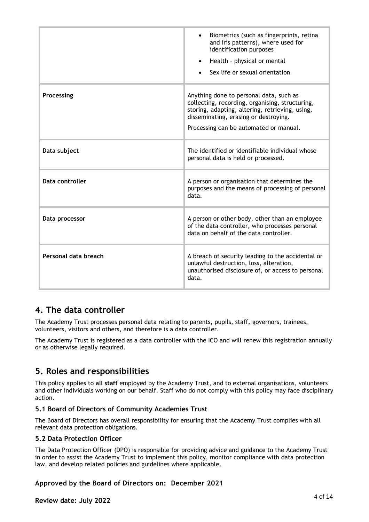|                      | Biometrics (such as fingerprints, retina<br>$\bullet$<br>and iris patterns), where used for<br>identification purposes<br>Health - physical or mental<br>$\bullet$<br>Sex life or sexual orientation                             |
|----------------------|----------------------------------------------------------------------------------------------------------------------------------------------------------------------------------------------------------------------------------|
| Processing           | Anything done to personal data, such as<br>collecting, recording, organising, structuring,<br>storing, adapting, altering, retrieving, using,<br>disseminating, erasing or destroying.<br>Processing can be automated or manual. |
| Data subject         | The identified or identifiable individual whose<br>personal data is held or processed.                                                                                                                                           |
| Data controller      | A person or organisation that determines the<br>purposes and the means of processing of personal<br>data.                                                                                                                        |
| Data processor       | A person or other body, other than an employee<br>of the data controller, who processes personal<br>data on behalf of the data controller.                                                                                       |
| Personal data breach | A breach of security leading to the accidental or<br>unlawful destruction, loss, alteration,<br>unauthorised disclosure of, or access to personal<br>data.                                                                       |

### **4. The data controller**

The Academy Trust processes personal data relating to parents, pupils, staff, governors, trainees, volunteers, visitors and others, and therefore is a data controller.

The Academy Trust is registered as a data controller with the ICO and will renew this registration annually or as otherwise legally required.

### **5. Roles and responsibilities**

This policy applies to **all staff** employed by the Academy Trust, and to external organisations, volunteers and other individuals working on our behalf. Staff who do not comply with this policy may face disciplinary action.

#### **5.1 Board of Directors of Community Academies Trust**

The Board of Directors has overall responsibility for ensuring that the Academy Trust complies with all relevant data protection obligations.

#### **5.2 Data Protection Officer**

The Data Protection Officer (DPO) is responsible for providing advice and guidance to the Academy Trust in order to assist the Academy Trust to implement this policy, monitor compliance with data protection law, and develop related policies and guidelines where applicable.

#### **Approved by the Board of Directors on: December 2021**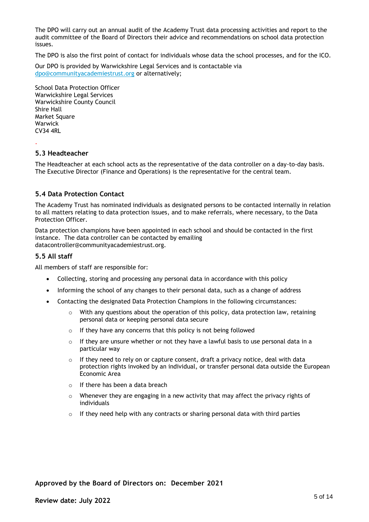The DPO will carry out an annual audit of the Academy Trust data processing activities and report to the audit committee of the Board of Directors their advice and recommendations on school data protection issues.

The DPO is also the first point of contact for individuals whose data the school processes, and for the ICO.

Our DPO is provided by Warwickshire Legal Services and is contactable via [dpo@communityacademiestrust.org](mailto:dpo@communityacademiestrust.org) or alternatively;

School Data Protection Officer Warwickshire Legal Services Warwickshire County Council Shire Hall Market Square **Warwick** CV34 4RL

#### **5.3 Headteacher**

.

The Headteacher at each school acts as the representative of the data controller on a day-to-day basis. The Executive Director (Finance and Operations) is the representative for the central team.

#### **5.4 Data Protection Contact**

The Academy Trust has nominated individuals as designated persons to be contacted internally in relation to all matters relating to data protection issues, and to make referrals, where necessary, to the Data Protection Officer.

Data protection champions have been appointed in each school and should be contacted in the first instance. The data controller can be contacted by emailing datacontroller@communityacademiestrust.org.

#### **5.5 All staff**

All members of staff are responsible for:

- Collecting, storing and processing any personal data in accordance with this policy
- Informing the school of any changes to their personal data, such as a change of address
- Contacting the designated Data Protection Champions in the following circumstances:
	- $\circ$  With any questions about the operation of this policy, data protection law, retaining personal data or keeping personal data secure
	- o If they have any concerns that this policy is not being followed
	- o If they are unsure whether or not they have a lawful basis to use personal data in a particular way
	- o If they need to rely on or capture consent, draft a privacy notice, deal with data protection rights invoked by an individual, or transfer personal data outside the European Economic Area
	- o If there has been a data breach
	- $\circ$  Whenever they are engaging in a new activity that may affect the privacy rights of individuals
	- $\circ$  If they need help with any contracts or sharing personal data with third parties

#### **Approved by the Board of Directors on: December 2021**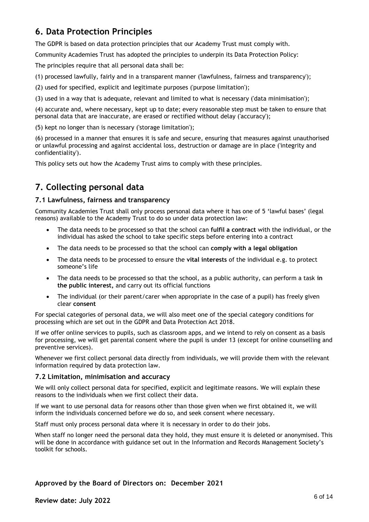# **6. Data Protection Principles**

The GDPR is based on data protection principles that our Academy Trust must comply with.

Community Academies Trust has adopted the principles to underpin its Data Protection Policy:

The principles require that all personal data shall be:

(1) processed lawfully, fairly and in a transparent manner ('lawfulness, fairness and transparency');

(2) used for specified, explicit and legitimate purposes ('purpose limitation');

(3) used in a way that is adequate, relevant and limited to what is necessary ('data minimisation');

(4) accurate and, where necessary, kept up to date; every reasonable step must be taken to ensure that personal data that are inaccurate, are erased or rectified without delay ('accuracy');

(5) kept no longer than is necessary ('storage limitation');

(6) processed in a manner that ensures it is safe and secure, ensuring that measures against unauthorised or unlawful processing and against accidental loss, destruction or damage are in place ('integrity and confidentiality').

This policy sets out how the Academy Trust aims to comply with these principles.

# **7. Collecting personal data**

#### **7.1 Lawfulness, fairness and transparency**

Community Academies Trust shall only process personal data where it has one of 5 'lawful bases' (legal reasons) available to the Academy Trust to do so under data protection law:

- The data needs to be processed so that the school can **fulfil a contract** with the individual, or the individual has asked the school to take specific steps before entering into a contract
- The data needs to be processed so that the school can **comply with a legal obligation**
- The data needs to be processed to ensure the **vital interests** of the individual e.g. to protect someone's life
- The data needs to be processed so that the school, as a public authority, can perform a task **in the public interest,** and carry out its official functions
- The individual (or their parent/carer when appropriate in the case of a pupil) has freely given clear **consent**

For special categories of personal data, we will also meet one of the special category conditions for processing which are set out in the GDPR and Data Protection Act 2018.

If we offer online services to pupils, such as classroom apps, and we intend to rely on consent as a basis for processing, we will get parental consent where the pupil is under 13 (except for online counselling and preventive services).

Whenever we first collect personal data directly from individuals, we will provide them with the relevant information required by data protection law.

#### **7.2 Limitation, minimisation and accuracy**

We will only collect personal data for specified, explicit and legitimate reasons. We will explain these reasons to the individuals when we first collect their data.

If we want to use personal data for reasons other than those given when we first obtained it, we will inform the individuals concerned before we do so, and seek consent where necessary.

Staff must only process personal data where it is necessary in order to do their jobs.

When staff no longer need the personal data they hold, they must ensure it is deleted or anonymised. This will be done in accordance with guidance set out in the Information and Records Management Society's toolkit for schools.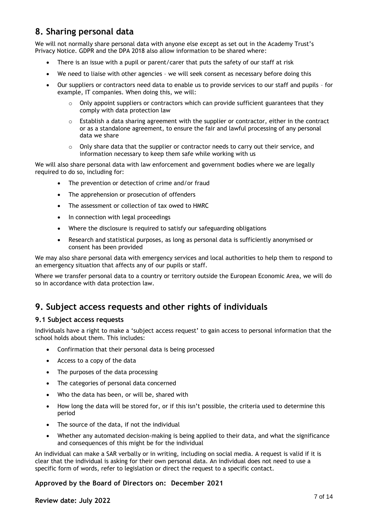# **8. Sharing personal data**

We will not normally share personal data with anyone else except as set out in the Academy Trust's Privacy Notice. GDPR and the DPA 2018 also allow information to be shared where:

- There is an issue with a pupil or parent/carer that puts the safety of our staff at risk
- We need to liaise with other agencies we will seek consent as necessary before doing this
- Our suppliers or contractors need data to enable us to provide services to our staff and pupils for example, IT companies. When doing this, we will:
	- $\circ$  Only appoint suppliers or contractors which can provide sufficient guarantees that they comply with data protection law
	- $\circ$  Establish a data sharing agreement with the supplier or contractor, either in the contract or as a standalone agreement, to ensure the fair and lawful processing of any personal data we share
	- $\circ$  Only share data that the supplier or contractor needs to carry out their service, and information necessary to keep them safe while working with us

We will also share personal data with law enforcement and government bodies where we are legally required to do so, including for:

- The prevention or detection of crime and/or fraud
- The apprehension or prosecution of offenders
- The assessment or collection of tax owed to HMRC
- In connection with legal proceedings
- Where the disclosure is required to satisfy our safeguarding obligations
- Research and statistical purposes, as long as personal data is sufficiently anonymised or consent has been provided

We may also share personal data with emergency services and local authorities to help them to respond to an emergency situation that affects any of our pupils or staff.

Where we transfer personal data to a country or territory outside the European Economic Area, we will do so in accordance with data protection law.

### **9. Subject access requests and other rights of individuals**

#### **9.1 Subject access requests**

Individuals have a right to make a 'subject access request' to gain access to personal information that the school holds about them. This includes:

- Confirmation that their personal data is being processed
- Access to a copy of the data
- The purposes of the data processing
- The categories of personal data concerned
- Who the data has been, or will be, shared with
- How long the data will be stored for, or if this isn't possible, the criteria used to determine this period
- The source of the data, if not the individual
- Whether any automated decision-making is being applied to their data, and what the significance and consequences of this might be for the individual

An individual can make a SAR verbally or in writing, including on social media. A request is valid if it is clear that the individual is asking for their own personal data. An individual does not need to use a specific form of words, refer to legislation or direct the request to a specific contact.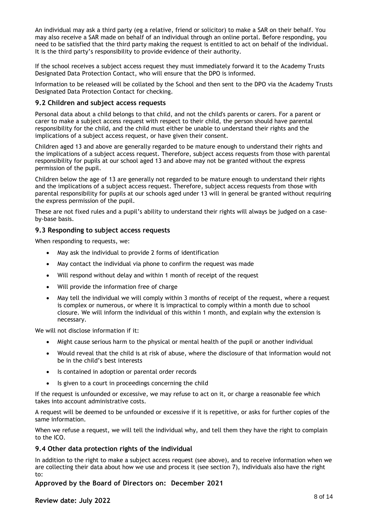An individual may ask a third party (eg a relative, friend or solicitor) to make a SAR on their behalf. You may also receive a SAR made on behalf of an individual through an online portal. Before responding, you need to be satisfied that the third party making the request is entitled to act on behalf of the individual. It is the third party's responsibility to provide evidence of their authority.

If the school receives a subject access request they must immediately forward it to the Academy Trusts Designated Data Protection Contact, who will ensure that the DPO is informed.

Information to be released will be collated by the School and then sent to the DPO via the Academy Trusts Designated Data Protection Contact for checking.

#### **9.2 Children and subject access requests**

Personal data about a child belongs to that child, and not the child's parents or carers. For a parent or carer to make a subject access request with respect to their child, the person should have parental responsibility for the child, and the child must either be unable to understand their rights and the implications of a subject access request, or have given their consent.

Children aged 13 and above are generally regarded to be mature enough to understand their rights and the implications of a subject access request. Therefore, subject access requests from those with parental responsibility for pupils at our school aged 13 and above may not be granted without the express permission of the pupil.

Children below the age of 13 are generally not regarded to be mature enough to understand their rights and the implications of a subject access request. Therefore, subject access requests from those with parental responsibility for pupils at our schools aged under 13 will in general be granted without requiring the express permission of the pupil.

These are not fixed rules and a pupil's ability to understand their rights will always be judged on a caseby-base basis.

#### **9.3 Responding to subject access requests**

When responding to requests, we:

- May ask the individual to provide 2 forms of identification
- May contact the individual via phone to confirm the request was made
- Will respond without delay and within 1 month of receipt of the request
- Will provide the information free of charge
- May tell the individual we will comply within 3 months of receipt of the request, where a request is complex or numerous, or where it is impractical to comply within a month due to school closure. We will inform the individual of this within 1 month, and explain why the extension is necessary.

We will not disclose information if it:

- Might cause serious harm to the physical or mental health of the pupil or another individual
- Would reveal that the child is at risk of abuse, where the disclosure of that information would not be in the child's best interests
- Is contained in adoption or parental order records
- Is given to a court in proceedings concerning the child

If the request is unfounded or excessive, we may refuse to act on it, or charge a reasonable fee which takes into account administrative costs.

A request will be deemed to be unfounded or excessive if it is repetitive, or asks for further copies of the same information.

When we refuse a request, we will tell the individual why, and tell them they have the right to complain to the ICO.

#### **9.4 Other data protection rights of the individual**

In addition to the right to make a subject access request (see above), and to receive information when we are collecting their data about how we use and process it (see section 7), individuals also have the right to:

#### **Approved by the Board of Directors on: December 2021**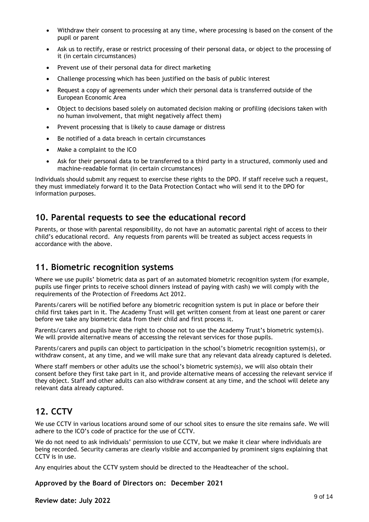- Withdraw their consent to processing at any time, where processing is based on the consent of the pupil or parent
- Ask us to rectify, erase or restrict processing of their personal data, or object to the processing of it (in certain circumstances)
- Prevent use of their personal data for direct marketing
- Challenge processing which has been justified on the basis of public interest
- Request a copy of agreements under which their personal data is transferred outside of the European Economic Area
- Object to decisions based solely on automated decision making or profiling (decisions taken with no human involvement, that might negatively affect them)
- Prevent processing that is likely to cause damage or distress
- Be notified of a data breach in certain circumstances
- Make a complaint to the ICO
- Ask for their personal data to be transferred to a third party in a structured, commonly used and machine-readable format (in certain circumstances)

Individuals should submit any request to exercise these rights to the DPO. If staff receive such a request, they must immediately forward it to the Data Protection Contact who will send it to the DPO for information purposes.

### **10. Parental requests to see the educational record**

Parents, or those with parental responsibility, do not have an automatic parental right of access to their child's educational record. Any requests from parents will be treated as subject access requests in accordance with the above.

### **11. Biometric recognition systems**

Where we use pupils' biometric data as part of an automated biometric recognition system (for example, pupils use finger prints to receive school dinners instead of paying with cash) we will comply with the requirements of the Protection of Freedoms Act 2012.

Parents/carers will be notified before any biometric recognition system is put in place or before their child first takes part in it. The Academy Trust will get written consent from at least one parent or carer before we take any biometric data from their child and first process it.

Parents/carers and pupils have the right to choose not to use the Academy Trust's biometric system(s). We will provide alternative means of accessing the relevant services for those pupils.

Parents/carers and pupils can object to participation in the school's biometric recognition system(s), or withdraw consent, at any time, and we will make sure that any relevant data already captured is deleted.

Where staff members or other adults use the school's biometric system(s), we will also obtain their consent before they first take part in it, and provide alternative means of accessing the relevant service if they object. Staff and other adults can also withdraw consent at any time, and the school will delete any relevant data already captured.

### **12. CCTV**

We use CCTV in various locations around some of our school sites to ensure the site remains safe. We will adhere to the ICO's code of practice for the use of CCTV.

We do not need to ask individuals' permission to use CCTV, but we make it clear where individuals are being recorded. Security cameras are clearly visible and accompanied by prominent signs explaining that CCTV is in use.

Any enquiries about the CCTV system should be directed to the Headteacher of the school.

**Approved by the Board of Directors on: December 2021**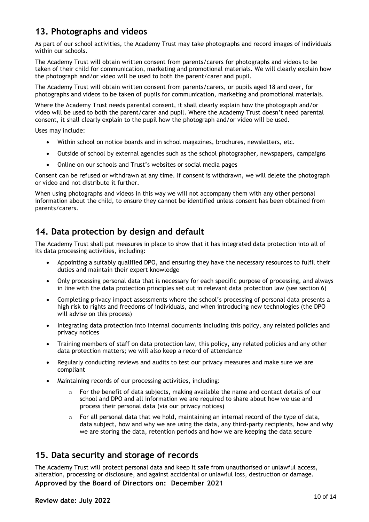### **13. Photographs and videos**

As part of our school activities, the Academy Trust may take photographs and record images of individuals within our schools.

The Academy Trust will obtain written consent from parents/carers for photographs and videos to be taken of their child for communication, marketing and promotional materials. We will clearly explain how the photograph and/or video will be used to both the parent/carer and pupil.

The Academy Trust will obtain written consent from parents/carers, or pupils aged 18 and over, for photographs and videos to be taken of pupils for communication, marketing and promotional materials.

Where the Academy Trust needs parental consent, it shall clearly explain how the photograph and/or video will be used to both the parent/carer and pupil. Where the Academy Trust doesn't need parental consent, it shall clearly explain to the pupil how the photograph and/or video will be used.

Uses may include:

- Within school on notice boards and in school magazines, brochures, newsletters, etc.
- Outside of school by external agencies such as the school photographer, newspapers, campaigns
- Online on our schools and Trust's websites or social media pages

Consent can be refused or withdrawn at any time. If consent is withdrawn, we will delete the photograph or video and not distribute it further.

When using photographs and videos in this way we will not accompany them with any other personal information about the child, to ensure they cannot be identified unless consent has been obtained from parents/carers.

### **14. Data protection by design and default**

The Academy Trust shall put measures in place to show that it has integrated data protection into all of its data processing activities, including:

- Appointing a suitably qualified DPO, and ensuring they have the necessary resources to fulfil their duties and maintain their expert knowledge
- Only processing personal data that is necessary for each specific purpose of processing, and always in line with the data protection principles set out in relevant data protection law (see section 6)
- Completing privacy impact assessments where the school's processing of personal data presents a high risk to rights and freedoms of individuals, and when introducing new technologies (the DPO will advise on this process)
- Integrating data protection into internal documents including this policy, any related policies and privacy notices
- Training members of staff on data protection law, this policy, any related policies and any other data protection matters; we will also keep a record of attendance
- Regularly conducting reviews and audits to test our privacy measures and make sure we are compliant
- Maintaining records of our processing activities, including:
	- $\circ$  For the benefit of data subjects, making available the name and contact details of our school and DPO and all information we are required to share about how we use and process their personal data (via our privacy notices)
	- $\circ$  For all personal data that we hold, maintaining an internal record of the type of data, data subject, how and why we are using the data, any third-party recipients, how and why we are storing the data, retention periods and how we are keeping the data secure

### **15. Data security and storage of records**

**Approved by the Board of Directors on: December 2021** The Academy Trust will protect personal data and keep it safe from unauthorised or unlawful access, alteration, processing or disclosure, and against accidental or unlawful loss, destruction or damage.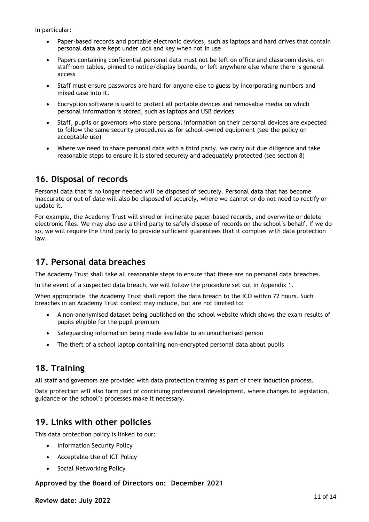In particular:

- Paper-based records and portable electronic devices, such as laptops and hard drives that contain personal data are kept under lock and key when not in use
- Papers containing confidential personal data must not be left on office and classroom desks, on staffroom tables, pinned to notice/display boards, or left anywhere else where there is general access
- Staff must ensure passwords are hard for anyone else to guess by incorporating numbers and mixed case into it.
- Encryption software is used to protect all portable devices and removable media on which personal information is stored, such as laptops and USB devices
- Staff, pupils or governors who store personal information on their personal devices are expected to follow the same security procedures as for school-owned equipment (see the policy on acceptable use)
- Where we need to share personal data with a third party, we carry out due diligence and take reasonable steps to ensure it is stored securely and adequately protected (see section 8)

### **16. Disposal of records**

Personal data that is no longer needed will be disposed of securely. Personal data that has become inaccurate or out of date will also be disposed of securely, where we cannot or do not need to rectify or update it.

For example, the Academy Trust will shred or incinerate paper-based records, and overwrite or delete electronic files. We may also use a third party to safely dispose of records on the school's behalf. If we do so, we will require the third party to provide sufficient guarantees that it complies with data protection law.

### **17. Personal data breaches**

The Academy Trust shall take all reasonable steps to ensure that there are no personal data breaches.

In the event of a suspected data breach, we will follow the procedure set out in Appendix 1.

When appropriate, the Academy Trust shall report the data breach to the ICO within 72 hours. Such breaches in an Academy Trust context may include, but are not limited to:

- A non-anonymised dataset being published on the school website which shows the exam results of pupils eligible for the pupil premium
- Safeguarding information being made available to an unauthorised person
- The theft of a school laptop containing non-encrypted personal data about pupils

### **18. Training**

All staff and governors are provided with data protection training as part of their induction process.

Data protection will also form part of continuing professional development, where changes to legislation, guidance or the school's processes make it necessary.

### **19. Links with other policies**

This data protection policy is linked to our:

- Information Security Policy
- Acceptable Use of ICT Policy
- Social Networking Policy

### **Approved by the Board of Directors on: December 2021**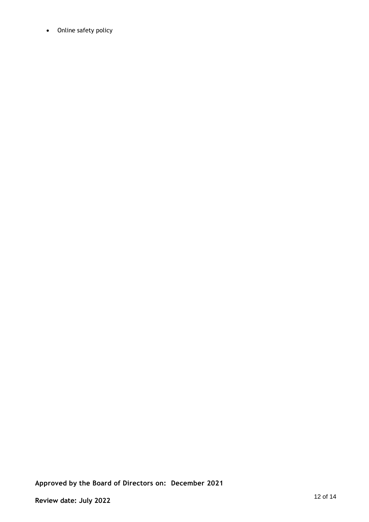• Online safety policy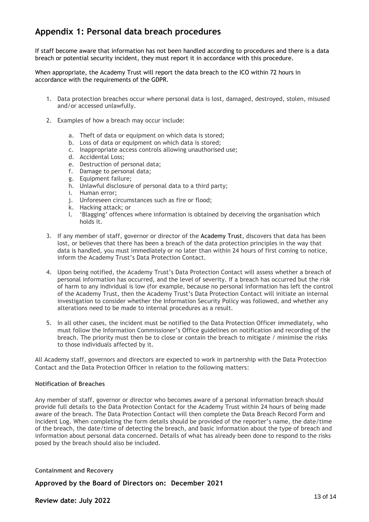### **Appendix 1: Personal data breach procedures**

If staff become aware that information has not been handled according to procedures and there is a data breach or potential security incident, they must report it in accordance with this procedure.

When appropriate, the Academy Trust will report the data breach to the ICO within 72 hours in accordance with the requirements of the GDPR.

- 1. Data protection breaches occur where personal data is lost, damaged, destroyed, stolen, misused and/or accessed unlawfully.
- 2. Examples of how a breach may occur include:
	- a. Theft of data or equipment on which data is stored;
	- b. Loss of data or equipment on which data is stored;
	- c. Inappropriate access controls allowing unauthorised use;
	- d. Accidental Loss;
	- e. Destruction of personal data;
	- f. Damage to personal data;
	- g. Equipment failure;
	- h. Unlawful disclosure of personal data to a third party;
	- i. Human error;
	- j. Unforeseen circumstances such as fire or flood;
	- k. Hacking attack; or
	- l. 'Blagging' offences where information is obtained by deceiving the organisation which holds it.
- 3. If any member of staff, governor or director of the Academy Trust, discovers that data has been lost, or believes that there has been a breach of the data protection principles in the way that data is handled, you must immediately or no later than within 24 hours of first coming to notice, inform the Academy Trust's Data Protection Contact.
- 4. Upon being notified, the Academy Trust's Data Protection Contact will assess whether a breach of personal information has occurred, and the level of severity. If a breach has occurred but the risk of harm to any individual is low (for example, because no personal information has left the control of the Academy Trust, then the Academy Trust's Data Protection Contact will initiate an internal investigation to consider whether the Information Security Policy was followed, and whether any alterations need to be made to internal procedures as a result.
- 5. In all other cases, the incident must be notified to the Data Protection Officer immediately, who must follow the Information Commissioner's Office guidelines on notification and recording of the breach. The priority must then be to close or contain the breach to mitigate / minimise the risks to those individuals affected by it.

All Academy staff, governors and directors are expected to work in partnership with the Data Protection Contact and the Data Protection Officer in relation to the following matters:

#### **Notification of Breaches**

Any member of staff, governor or director who becomes aware of a personal information breach should provide full details to the Data Protection Contact for the Academy Trust within 24 hours of being made aware of the breach. The Data Protection Contact will then complete the Data Breach Record Form and Incident Log. When completing the form details should be provided of the reporter's name, the date/time of the breach, the date/time of detecting the breach, and basic information about the type of breach and information about personal data concerned. Details of what has already been done to respond to the risks posed by the breach should also be included.

#### **Containment and Recovery**